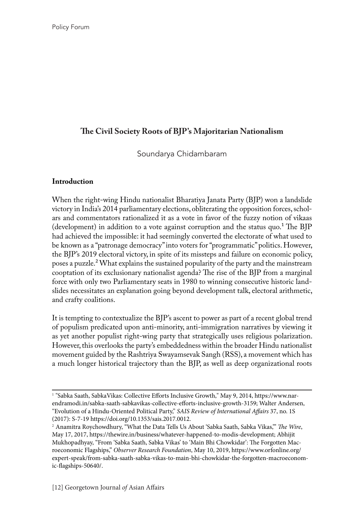# **The Civil Society Roots of BJP's Majoritarian Nationalism**

Soundarya Chidambaram

#### **Introduction**

When the right-wing Hindu nationalist Bharatiya Janata Party (BJP) won a landslide victory in India's 2014 parliamentary elections, obliterating the opposition forces, scholars and commentators rationalized it as a vote in favor of the fuzzy notion of vikaas (development) in addition to a vote against corruption and the status quo.1 The BJP had achieved the impossible: it had seemingly converted the electorate of what used to be known as a "patronage democracy" into voters for "programmatic" politics. However, the BJP's 2019 electoral victory, in spite of its missteps and failure on economic policy, poses a puzzle.<sup>2</sup> What explains the sustained popularity of the party and the mainstream cooptation of its exclusionary nationalist agenda? The rise of the BJP from a marginal force with only two Parliamentary seats in 1980 to winning consecutive historic landslides necessitates an explanation going beyond development talk, electoral arithmetic, and crafty coalitions.

It is tempting to contextualize the BJP's ascent to power as part of a recent global trend of populism predicated upon anti-minority, anti-immigration narratives by viewing it as yet another populist right-wing party that strategically uses religious polarization. However, this overlooks the party's embeddedness within the broader Hindu nationalist movement guided by the Rashtriya Swayamsevak Sangh (RSS), a movement which has a much longer historical trajectory than the BJP, as well as deep organizational roots

<sup>1</sup> "Sabka Saath, SabkaVikas: Collective Efforts Inclusive Growth," May 9, 2014, https://www.narendramodi.in/sabka-saath-sabkavikas-collective-efforts-inclusive-growth-3159; Walter Andersen, "Evolution of a Hindu-Oriented Political Party," *SAIS Review of International Affairs* 37, no. 1S (2017): S-7-19 https://doi.org/10.1353/sais.2017.0012.

<sup>2</sup> Anamitra Roychowdhury, "What the Data Tells Us About 'Sabka Saath, Sabka Vikas,'" *The Wire*, May 17, 2017, https://thewire.in/business/whatever-happened-to-modis-development; Abhijit Mukhopadhyay, "From 'Sabka Saath, Sabka Vikas' to 'Main Bhi Chowkidar': The Forgotten Macroeconomic Flagships," *Observer Research Foundation*, May 10, 2019, https://www.orfonline.org/ expert-speak/from-sabka-saath-sabka-vikas-to-main-bhi-chowkidar-the-forgotten-macroeconomic-flagships-50640/.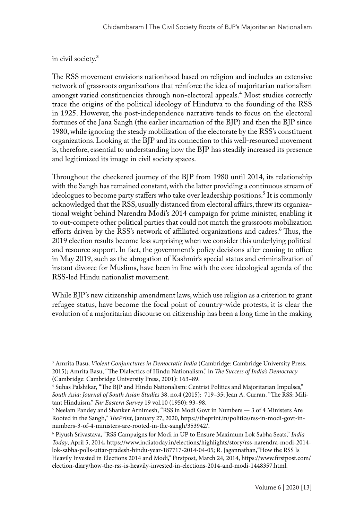#### in civil society.3

The RSS movement envisions nationhood based on religion and includes an extensive network of grassroots organizations that reinforce the idea of majoritarian nationalism amongst varied constituencies through non-electoral appeals.<sup>4</sup> Most studies correctly trace the origins of the political ideology of Hindutva to the founding of the RSS in 1925. However, the post-independence narrative tends to focus on the electoral fortunes of the Jana Sangh (the earlier incarnation of the BJP) and then the BJP since 1980, while ignoring the steady mobilization of the electorate by the RSS's constituent organizations. Looking at the BJP and its connection to this well-resourced movement is, therefore, essential to understanding how the BJP has steadily increased its presence and legitimized its image in civil society spaces.

Throughout the checkered journey of the BJP from 1980 until 2014, its relationship with the Sangh has remained constant, with the latter providing a continuous stream of ideologues to become party staffers who take over leadership positions.<sup>5</sup> It is commonly acknowledged that the RSS, usually distanced from electoral affairs, threw its organizational weight behind Narendra Modi's 2014 campaign for prime minister, enabling it to out-compete other political parties that could not match the grassroots mobilization efforts driven by the RSS's network of affiliated organizations and cadres.<sup>6</sup> Thus, the 2019 election results become less surprising when we consider this underlying political and resource support. In fact, the government's policy decisions after coming to office in May 2019, such as the abrogation of Kashmir's special status and criminalization of instant divorce for Muslims, have been in line with the core ideological agenda of the RSS-led Hindu nationalist movement.

While BJP's new citizenship amendment laws, which use religion as a criterion to grant refugee status, have become the focal point of country-wide protests, it is clear the evolution of a majoritarian discourse on citizenship has been a long time in the making

<sup>3</sup> Amrita Basu, *Violent Conjunctures in Democratic India* (Cambridge: Cambridge University Press, 2015); Amrita Basu, "The Dialectics of Hindu Nationalism," in *The Success of India's Democracy* (Cambridge: Cambridge University Press, 2001): 163–89.

<sup>4</sup> Suhas Palshikar, "The BJP and Hindu Nationalism: Centrist Politics and Majoritarian Impulses," *South Asia: Journal of South Asian Studies* 38, no.4 (2015): 719–35; Jean A. Curran, "The RSS: Militant Hinduism," *Far Eastern Survey* 19 vol.10 (1950): 93–98.

 $^5$  Neelam Pandey and Shanker Arnimesh, "RSS in Modi Govt in Numbers  $-$  3 of 4 Ministers Are Rooted in the Sangh," *ThePrint*, January 27, 2020, https://theprint.in/politics/rss-in-modi-govt-innumbers-3-of-4-ministers-are-rooted-in-the-sangh/353942/.

<sup>6</sup> Piyush Srivastava, "RSS Campaigns for Modi in UP to Ensure Maximum Lok Sabha Seats," *India Today*, April 5, 2014, https://www.indiatoday.in/elections/highlights/story/rss-narendra-modi-2014 lok-sabha-polls-uttar-pradesh-hindu-year-187717-2014-04-05; R. Jagannathan,"How the RSS Is Heavily Invested in Elections 2014 and Modi," Firstpost, March 24, 2014, https://www.firstpost.com/ election-diary/how-the-rss-is-heavily-invested-in-elections-2014-and-modi-1448357.html.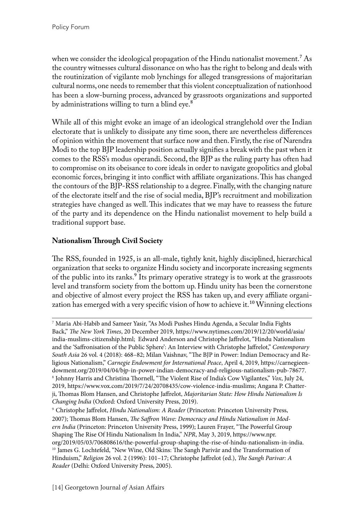when we consider the ideological propagation of the Hindu nationalist movement.<sup>7</sup> As the country witnesses cultural dissonance on who has the right to belong and deals with the routinization of vigilante mob lynchings for alleged transgressions of majoritarian cultural norms, one needs to remember that this violent conceptualization of nationhood has been a slow-burning process, advanced by grassroots organizations and supported by administrations willing to turn a blind eye.<sup>8</sup>

While all of this might evoke an image of an ideological stranglehold over the Indian electorate that is unlikely to dissipate any time soon, there are nevertheless differences of opinion within the movement that surface now and then. Firstly, the rise of Narendra Modi to the top BJP leadership position actually signifies a break with the past when it comes to the RSS's modus operandi. Second, the BJP as the ruling party has often had to compromise on its obeisance to core ideals in order to navigate geopolitics and global economic forces, bringing it into conflict with affiliate organizations. This has changed the contours of the BJP-RSS relationship to a degree. Finally, with the changing nature of the electorate itself and the rise of social media, BJP's recruitment and mobilization strategies have changed as well. This indicates that we may have to reassess the future of the party and its dependence on the Hindu nationalist movement to help build a traditional support base.

## **Nationalism Through Civil Society**

The RSS, founded in 1925, is an all-male, tightly knit, highly disciplined, hierarchical organization that seeks to organize Hindu society and incorporate increasing segments of the public into its ranks.<sup>9</sup> Its primary operative strategy is to work at the grassroots level and transform society from the bottom up. Hindu unity has been the cornerstone and objective of almost every project the RSS has taken up, and every affiliate organization has emerged with a very specific vision of how to achieve it.<sup>10</sup> Winning elections

<sup>7</sup> Maria Abi-Habib and Sameer Yasir, "As Modi Pushes Hindu Agenda, a Secular India Fights Back," *The New York Times*, 20 December 2019, https://www.nytimes.com/2019/12/20/world/asia/ india-muslims-citizenship.html; Edward Anderson and Christophe Jaffrelot, "Hindu Nationalism and the 'Saffronisation of the Public Sphere': An Interview with Christophe Jaffrelot," *Contemporary South Asia* 26 vol. 4 (2018): 468–82; Milan Vaishnav, "The BJP in Power: Indian Democracy and Religious Nationalism," *Carnegie Endowment for International Peace*, April 4, 2019, https://carnegieendowment.org/2019/04/04/bjp-in-power-indian-democracy-and-religious-nationalism-pub-78677. 8 Johnny Harris and Christina Thornell, "The Violent Rise of India's Cow Vigilantes," *Vox*, July 24, 2019, https://www.vox.com/2019/7/24/20708435/cow-violence-india-muslims; Angana P. Chatterji, Thomas Blom Hansen, and Christophe Jaffrelot, *Majoritarian State: How Hindu Nationalism Is Changing India* (Oxford: Oxford University Press, 2019).

<sup>9</sup> Christophe Jaffrelot, *Hindu Nationalism: A Reader* (Princeton: Princeton University Press, 2007); Thomas Blom Hansen, *The Saffron Wave: Democracy and Hindu Nationalism in Modern India* (Princeton: Princeton University Press, 1999); Lauren Frayer, "The Powerful Group Shaping The Rise Of Hindu Nationalism In India," *NPR*, May 3, 2019, https://www.npr. org/2019/05/03/706808616/the-powerful-group-shaping-the-rise-of-hindu-nationalism-in-india. <sup>10</sup> James G. Lochtefeld, "New Wine, Old Skins: The Sangh Parivār and the Transformation of Hinduism," *Religion* 26 vol. 2 (1996): 101–17; Christophe Jaffrelot (ed.), *The Sangh Parivar: A Reader* (Delhi: Oxford University Press, 2005).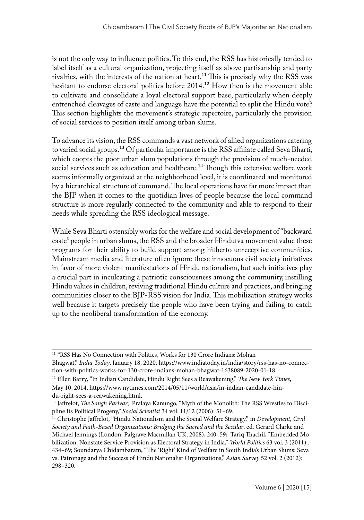is not the only way to influence politics. To this end, the RSS has historically tended to label itself as a cultural organization, projecting itself as above partisanship and party rivalries, with the interests of the nation at heart.<sup>11</sup> This is precisely why the RSS was hesitant to endorse electoral politics before 2014.<sup>12</sup> How then is the movement able to cultivate and consolidate a loyal electoral support base, particularly when deeply entrenched cleavages of caste and language have the potential to split the Hindu vote? This section highlights the movement's strategic repertoire, particularly the provision of social services to position itself among urban slums.

To advance its vision, the RSS commands a vast network of allied organizations catering to varied social groups.<sup>13</sup> Of particular importance is the RSS affiliate called Seva Bharti, which coopts the poor urban slum populations through the provision of much-needed social services such as education and healthcare.<sup>14</sup> Though this extensive welfare work seems informally organized at the neighborhood level, it is coordinated and monitored by a hierarchical structure of command. The local operations have far more impact than the BJP when it comes to the quotidian lives of people because the local command structure is more regularly connected to the community and able to respond to their needs while spreading the RSS ideological message.

While Seva Bharti ostensibly works for the welfare and social development of "backward caste" people in urban slums, the RSS and the broader Hindutva movement value these programs for their ability to build support among hitherto unreceptive communities. Mainstream media and literature often ignore these innocuous civil society initiatives in favor of more violent manifestations of Hindu nationalism, but such initiatives play a crucial part in inculcating a patriotic consciousness among the community, instilling Hindu values in children, reviving traditional Hindu culture and practices, and bringing communities closer to the BJP-RSS vision for India. This mobilization strategy works well because it targets precisely the people who have been trying and failing to catch up to the neoliberal transformation of the economy.

<sup>&</sup>lt;sup>11</sup> "RSS Has No Connection with Politics, Works for 130 Crore Indians: Mohan

Bhagwat," *India Today*, January 18, 2020, https://www.indiatoday.in/india/story/rss-has-no-connection-with-politics-works-for-130-crore-indians-mohan-bhagwat-1638089-2020-01-18.

<sup>12</sup> Ellen Barry, "In Indian Candidate, Hindu Right Sees a Reawakening," *The New York Times*, May 10, 2014, https://www.nytimes.com/2014/05/11/world/asia/in-indian-candidate-hindu-right-sees-a-reawakening.html.

<sup>13</sup> Jaffrelot, *The Sangh Parivar*; Pralaya Kanungo, "Myth of the Monolith: The RSS Wrestles to Discipline Its Political Progeny," *Social Scientist* 34 vol. 11/12 (2006): 51–69.

<sup>14</sup> Christophe Jaffrelot, "Hindu Nationalism and the Social Welfare Strategy," in *Development, Civil Society and Faith-Based Organizations: Bridging the Sacred and the Secular*, ed. Gerard Clarke and Michael Jennings (London: Palgrave Macmillan UK, 2008), 240–59; Tariq Thachil, "Embedded Mobilization: Nonstate Service Provision as Electoral Strategy in India," *World Politics* 63 vol. 3 (2011):. 434–69; Soundarya Chidambaram, "The 'Right' Kind of Welfare in South India's Urban Slums: Seva vs. Patronage and the Success of Hindu Nationalist Organizations," *Asian Survey* 52 vol. 2 (2012): 298–320.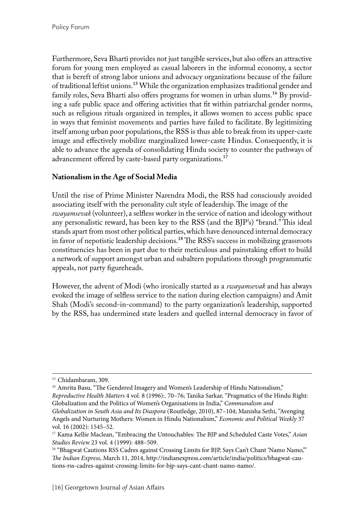Furthermore, Seva Bharti provides not just tangible services, but also offers an attractive forum for young men employed as casual laborers in the informal economy, a sector that is bereft of strong labor unions and advocacy organizations because of the failure of traditional leftist unions.<sup>15</sup> While the organization emphasizes traditional gender and family roles, Seva Bharti also offers programs for women in urban slums.<sup>16</sup> By providing a safe public space and offering activities that fit within patriarchal gender norms, such as religious rituals organized in temples, it allows women to access public space in ways that feminist movements and parties have failed to facilitate. By legitimizing itself among urban poor populations, the RSS is thus able to break from its upper-caste image and effectively mobilize marginalized lower-caste Hindus. Consequently, it is able to advance the agenda of consolidating Hindu society to counter the pathways of advancement offered by caste-based party organizations.<sup>17</sup>

## **Nationalism in the Age of Social Media**

Until the rise of Prime Minister Narendra Modi, the RSS had consciously avoided associating itself with the personality cult style of leadership. The image of the *swayamsevak* (volunteer), a selfless worker in the service of nation and ideology without any personalistic reward, has been key to the RSS (and the BJP's) "brand." This ideal stands apart from most other political parties, which have denounced internal democracy in favor of nepotistic leadership decisions.<sup>18</sup> The RSS's success in mobilizing grassroots constituencies has been in part due to their meticulous and painstaking effort to build a network of support amongst urban and subaltern populations through programmatic appeals, not party figureheads.

However, the advent of Modi (who ironically started as a *swayamsevak* and has always evoked the image of selfless service to the nation during election campaigns) and Amit Shah (Modi's second-in-command) to the party organization's leadership, supported by the RSS, has undermined state leaders and quelled internal democracy in favor of

<sup>&</sup>lt;sup>15</sup> Chidambaram, 309.

<sup>&</sup>lt;sup>16</sup> Amrita Basu, "The Gendered Imagery and Women's Leadership of Hindu Nationalism," *Reproductive Health Matters* 4 vol. 8 (1996):. 70–76; Tanika Sarkar, "Pragmatics of the Hindu Right: Globalization and the Politics of Women's Organisations in India," *Communalism and* 

*Globalization in South Asia and Its Diaspora* (Routledge, 2010), 87–104; Manisha Sethi, "Avenging Angels and Nurturing Mothers: Women in Hindu Nationalism," *Economic and Political Weekly* 37 vol. 16 (2002): 1545–52.

<sup>17</sup> Kama Kellie Maclean, "Embracing the Untouchables: The BJP and Scheduled Caste Votes," *Asian Studies Review* 23 vol. 4 (1999): 488–509.

<sup>&</sup>lt;sup>18</sup> "Bhagwat Cautions RSS Cadres against Crossing Limits for BJP, Says Can't Chant 'Namo Namo," *The Indian Express*, March 11, 2014, http://indianexpress.com/article/india/politics/bhagwat-cautions-rss-cadres-against-crossing-limits-for-bjp-says-cant-chant-namo-namo/.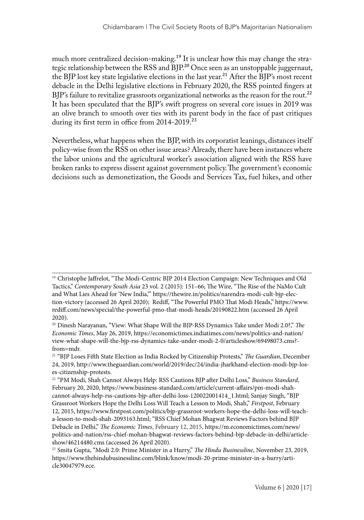much more centralized decision-making.<sup>19</sup> It is unclear how this may change the strategic relationship between the RSS and BJP.<sup>20</sup> Once seen as an unstoppable juggernaut, the BJP lost key state legislative elections in the last year.<sup>21</sup> After the BJP's most recent debacle in the Delhi legislative elections in February 2020, the RSS pointed fingers at BJP's failure to revitalize grassroots organizational networks as the reason for the rout.<sup>22</sup> It has been speculated that the BJP's swift progress on several core issues in 2019 was an olive branch to smooth over ties with its parent body in the face of past critiques during its first term in office from 2014-2019.<sup>23</sup>

Nevertheless, what happens when the BJP, with its corporatist leanings, distances itself policy-wise from the RSS on other issue areas? Already, there have been instances where the labor unions and the agricultural worker's association aligned with the RSS have broken ranks to express dissent against government policy. The government's economic decisions such as demonetization, the Goods and Services Tax, fuel hikes, and other

<sup>&</sup>lt;sup>19</sup> Christophe Jaffrelot, "The Modi-Centric BJP 2014 Election Campaign: New Techniques and Old Tactics," *Contemporary South Asia* 23 vol. 2 (2015): 151–66; The Wire, "The Rise of the NaMo Cult and What Lies Ahead for 'New India,'" https://thewire.in/politics/narendra-modi-cult-bjp-election-victory (accessed 26 April 2020); Rediff, "The Powerful PMO That Modi Heads," https://www. rediff.com/news/special/the-powerful-pmo-that-modi-heads/20190822.htm (accessed 26 April 2020).

<sup>20</sup> Dinesh Narayanan, "View: What Shape Will the BJP-RSS Dynamics Take under Modi 2.0?," *The Economic Times*, May 26, 2019, https://economictimes.indiatimes.com/news/politics-and-nation/ view-what-shape-will-the-bjp-rss-dynamics-take-under-modi-2-0/articleshow/69498073.cms? from=mdr.

<sup>21 &</sup>quot;BJP Loses Fifth State Election as India Rocked by Citizenship Protests," *The Guardian*, December 24, 2019, http://www.theguardian.com/world/2019/dec/24/india-jharkhand-election-modi-bjp-loses-citizenship-protests.

<sup>22 &</sup>quot;PM Modi, Shah Cannot Always Help: RSS Cautions BJP after Delhi Loss," *Business Standard*, February 20, 2020, https://www.business-standard.com/article/current-affairs/pm-modi-shahcannot-always-help-rss-cautions-bjp-after-delhi-loss-120022001414\_1.html; Sanjay Singh, "BJP Grassroot Workers Hope the Delhi Loss Will Teach a Lesson to Modi, Shah," *Firstpost*, February 12, 2015, https://www.firstpost.com/politics/bjp-grassroot-workers-hope-the-delhi-loss-will-teacha-lesson-to-modi-shah-2093163.html; "RSS Chief Mohan Bhagwat Reviews Factors behind BJP Debacle in Delhi," *The Economic Times*, February 12, 2015, https://m.economictimes.com/news/ politics-and-nation/rss-chief-mohan-bhagwat-reviews-factors-behind-bjp-debacle-in-delhi/articleshow/46214480.cms (accessed 26 April 2020). 23 Smita Gupta, "Modi 2.0: Prime Minister in a Hurry," *The Hindu Businessline*, November 23, 2019,

https://www.thehindubusinessline.com/blink/know/modi-20-prime-minister-in-a-hurry/article30047979.ece.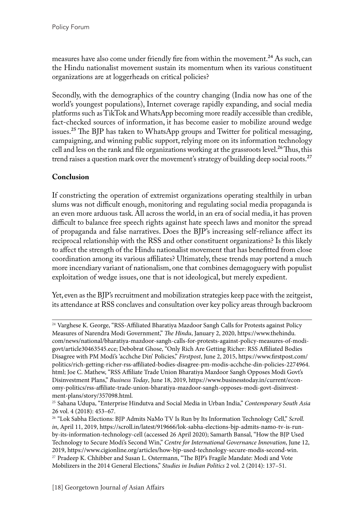measures have also come under friendly fire from within the movement.<sup>24</sup> As such, can the Hindu nationalist movement sustain its momentum when its various constituent organizations are at loggerheads on critical policies?

Secondly, with the demographics of the country changing (India now has one of the world's youngest populations), Internet coverage rapidly expanding, and social media platforms such as TikTok and WhatsApp becoming more readily accessible than credible, fact-checked sources of information, it has become easier to mobilize around wedge issues.25 The BJP has taken to WhatsApp groups and Twitter for political messaging, campaigning, and winning public support, relying more on its information technology cell and less on the rank and file organizations working at the grassroots level.<sup>26</sup> Thus, this trend raises a question mark over the movement's strategy of building deep social roots.<sup>27</sup>

## **Conclusion**

If constricting the operation of extremist organizations operating stealthily in urban slums was not difficult enough, monitoring and regulating social media propaganda is an even more arduous task. All across the world, in an era of social media, it has proven difficult to balance free speech rights against hate speech laws and monitor the spread of propaganda and false narratives. Does the BJP's increasing self-reliance affect its reciprocal relationship with the RSS and other constituent organizations? Is this likely to affect the strength of the Hindu nationalist movement that has benefitted from close coordination among its various affiliates? Ultimately, these trends may portend a much more incendiary variant of nationalism, one that combines demagoguery with populist exploitation of wedge issues, one that is not ideological, but merely expedient.

Yet, even as the BJP's recruitment and mobilization strategies keep pace with the zeitgeist, its attendance at RSS conclaves and consultation over key policy areas through backroom

<sup>&</sup>lt;sup>24</sup> Varghese K. George, "RSS-Affiliated Bharatiya Mazdoor Sangh Calls for Protests against Policy Measures of Narendra Modi Government," *The Hindu*, January 2, 2020, https://www.thehindu. com/news/national/bharatiya-mazdoor-sangh-calls-for-protests-against-policy-measures-of-modigovt/article30463545.ece; Debobrat Ghose, "Only Rich Are Getting Richer: RSS Affiliated Bodies Disagree with PM Modi's 'acchche Din' Policies," *Firstpost*, June 2, 2015, https://www.firstpost.com/ politics/rich-getting-richer-rss-affiliated-bodies-disagree-pm-modis-acchche-din-policies-2274964. html; Joe C. Mathew, "RSS Affiliate Trade Union Bharatiya Mazdoor Sangh Opposes Modi Govt's Disinvestment Plans," *Business Today*, June 18, 2019, https://www.businesstoday.in/current/economy-politics/rss-affiliate-trade-union-bharatiya-mazdoor-sangh-opposes-modi-govt-disinvestment-plans/story/357098.html.

<sup>25</sup> Sahana Udupa, "Enterprise Hindutva and Social Media in Urban India," *Contemporary South Asia* 26 vol. 4 (2018): 453–67.

<sup>26 &</sup>quot;Lok Sabha Elections: BJP Admits NaMo TV Is Run by Its Information Technology Cell," *Scroll.* in, April 11, 2019, https://scroll.in/latest/919666/lok-sabha-elections-bjp-admits-namo-tv-is-runby-its-information-technology-cell (accessed 26 April 2020); Samarth Bansal, "How the BJP Used Technology to Secure Modi's Second Win," *Centre for International Governance Innovation*, June 12, 2019, https://www.cigionline.org/articles/how-bjp-used-technology-secure-modis-second-win. <sup>27</sup> Pradeep K. Chhibber and Susan L. Ostermann, "The BJP's Fragile Mandate: Modi and Vote Mobilizers in the 2014 General Elections," *Studies in Indian Politics* 2 vol. 2 (2014): 137–51.